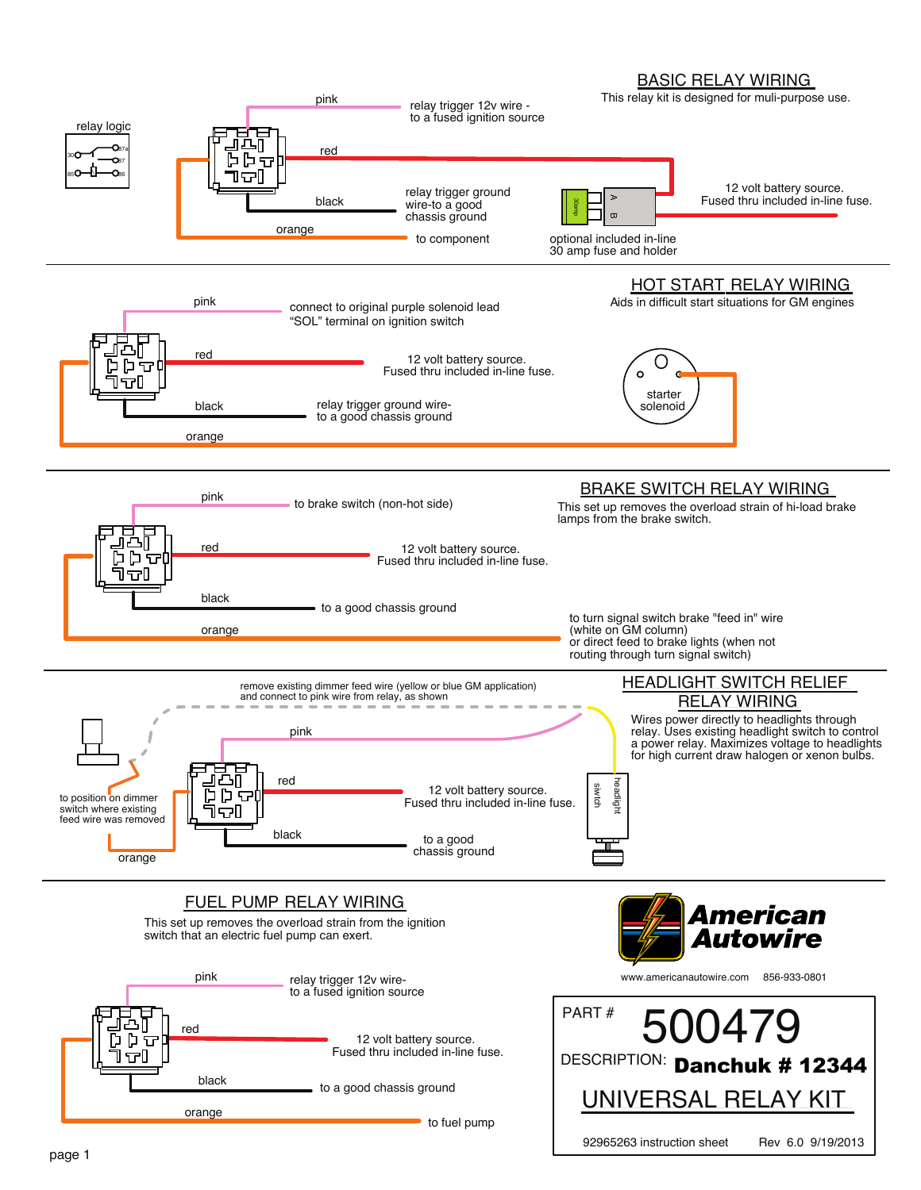# BASIC RELAY WIRING

92965263 instruction sheet Rev 6.0 9/19/2013

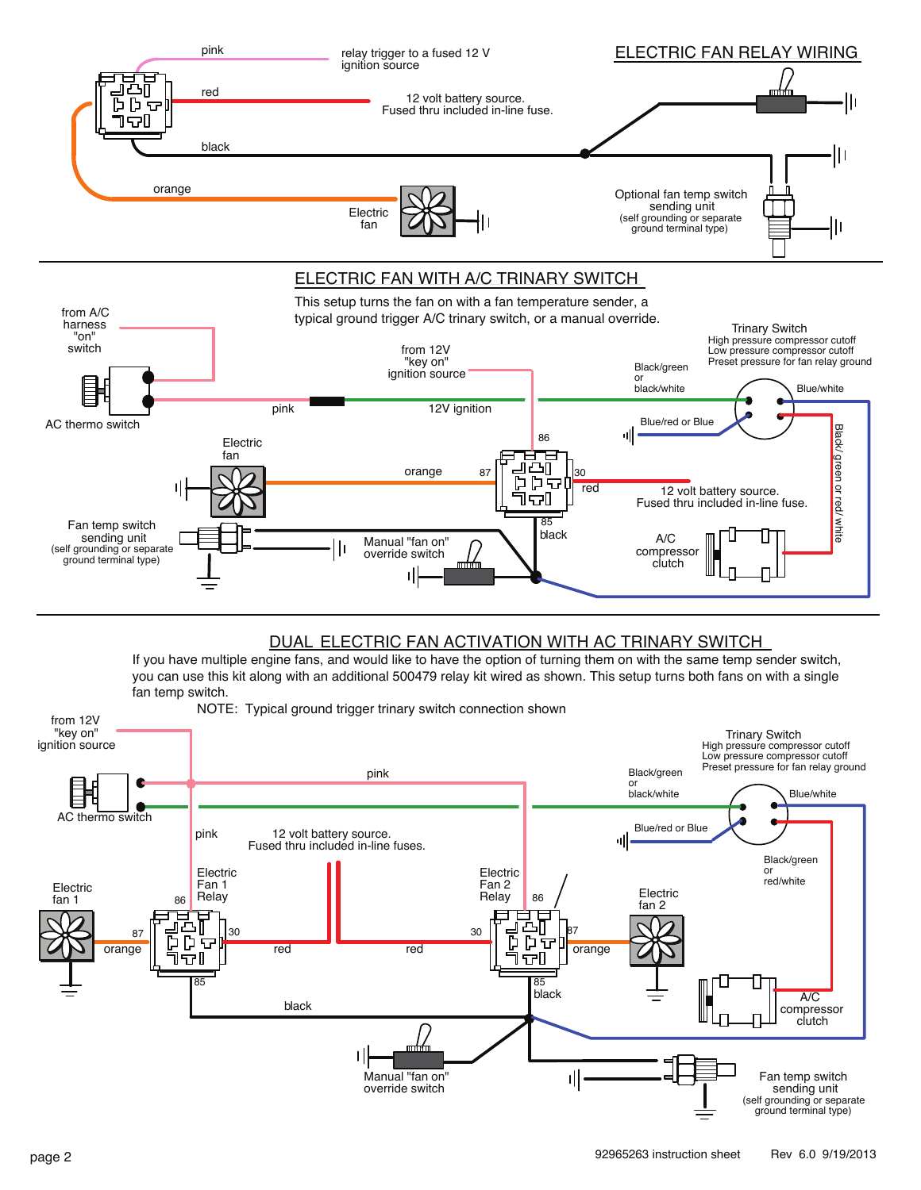

# DUAL ELECTRIC FAN ACTIVATION WITH AC TRINARY SWITCH

If you have multiple engine fans, and would like to have the option of turning them on with the same temp sender switch, you can use this kit along with an additional 500479 relay kit wired as shown. This setup turns both fans on with a single fan temp switch.

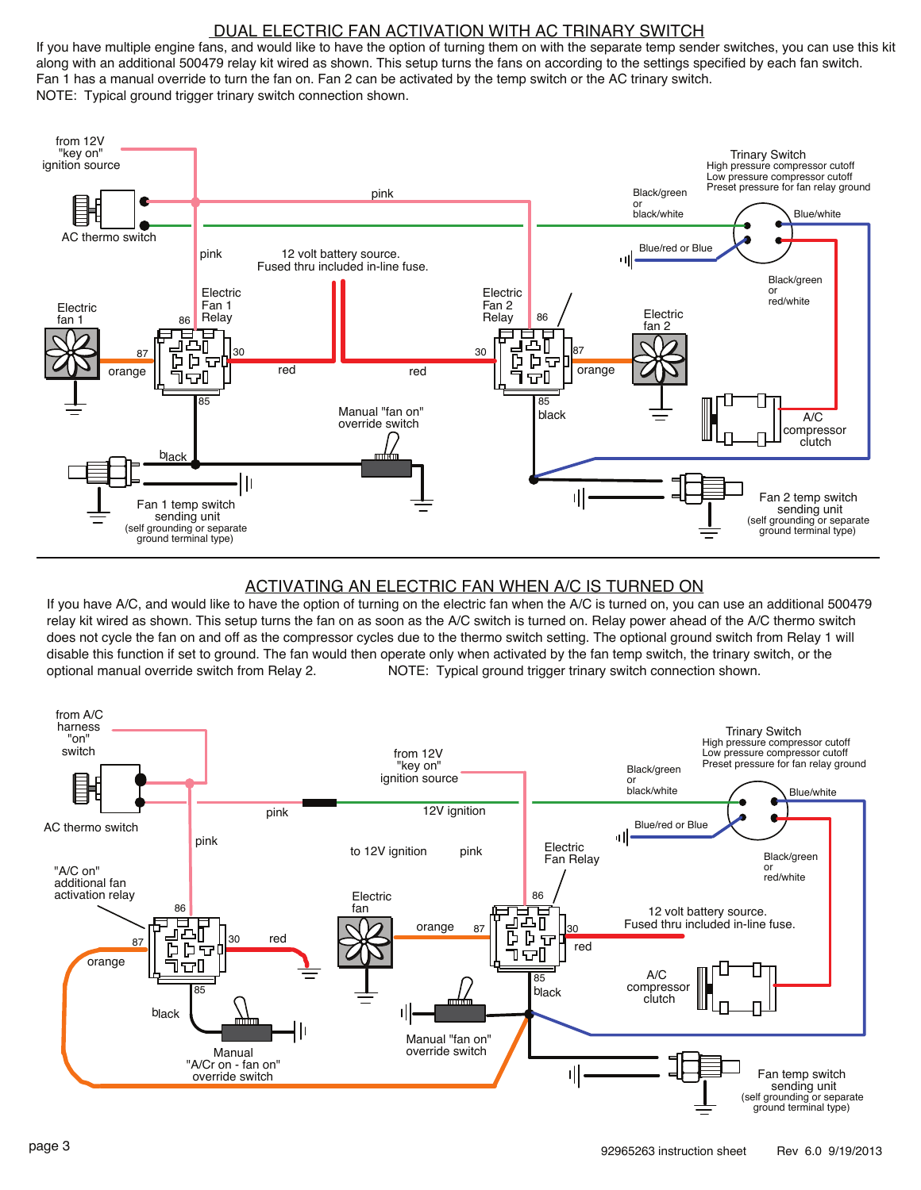#### DUAL ELECTRIC FAN ACTIVATION WITH AC TRINARY SWITCH

If you have multiple engine fans, and would like to have the option of turning them on with the separate temp sender switches, you can use this kit along with an additional 500479 relay kit wired as shown. This setup turns the fans on according to the settings specified by each fan switch. Fan 1 has a manual override to turn the fan on. Fan 2 can be activated by the temp switch or the AC trinary switch. NOTE: Typical ground trigger trinary switch connection shown.



#### ACTIVATING AN ELECTRIC FAN WHEN A/C IS TURNED ON

If you have A/C, and would like to have the option of turning on the electric fan when the A/C is turned on, you can use an additional 500479 relay kit wired as shown. This setup turns the fan on as soon as the A/C switch is turned on. Relay power ahead of the A/C thermo switch does not cycle the fan on and off as the compressor cycles due to the thermo switch setting. The optional ground switch from Relay 1 will disable this function if set to ground. The fan would then operate only when activated by the fan temp switch, the trinary switch, or the optional manual override switch from Relay 2. NOTE: Typical ground trigger trinary switch connection shown.

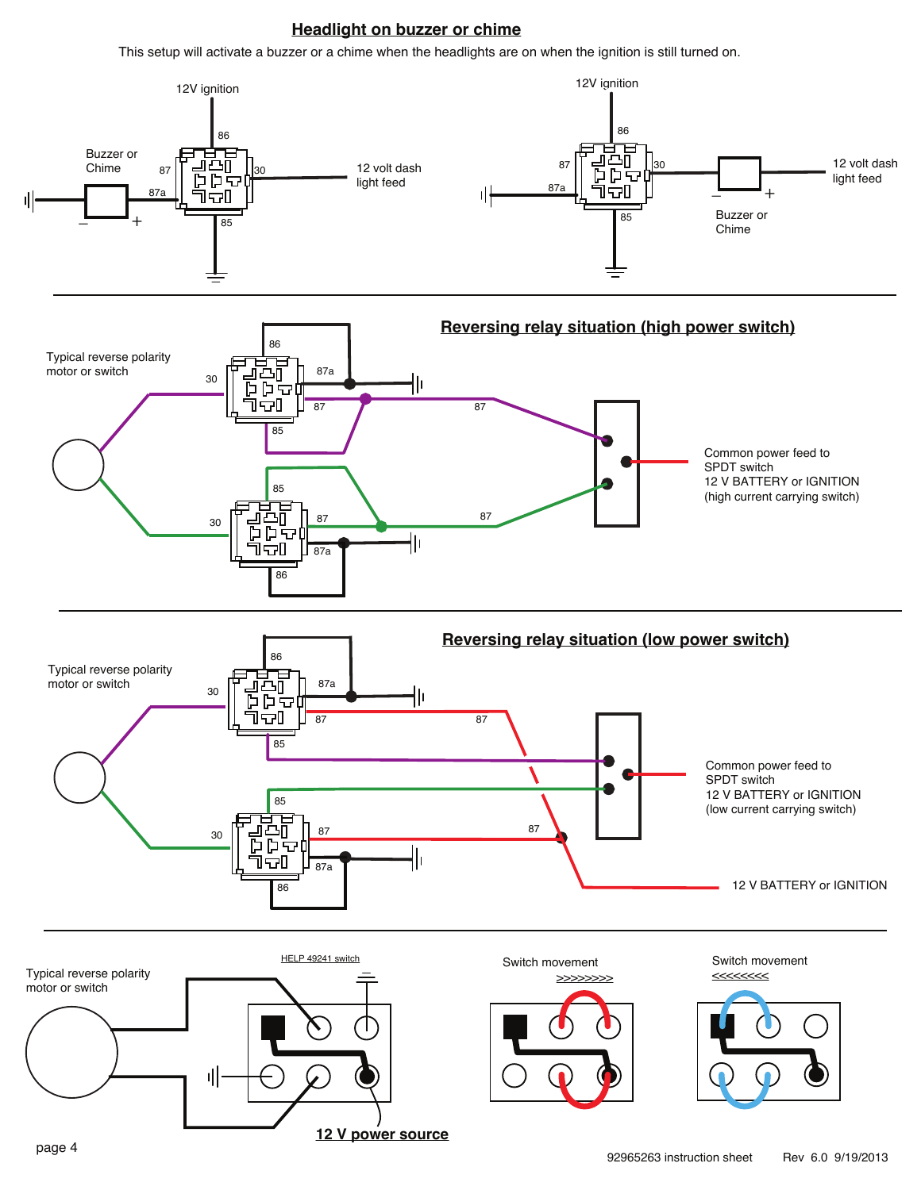## **Headlight on buzzer or chime**

This setup will activate a buzzer or a chime when the headlights are on when the ignition is still turned on.

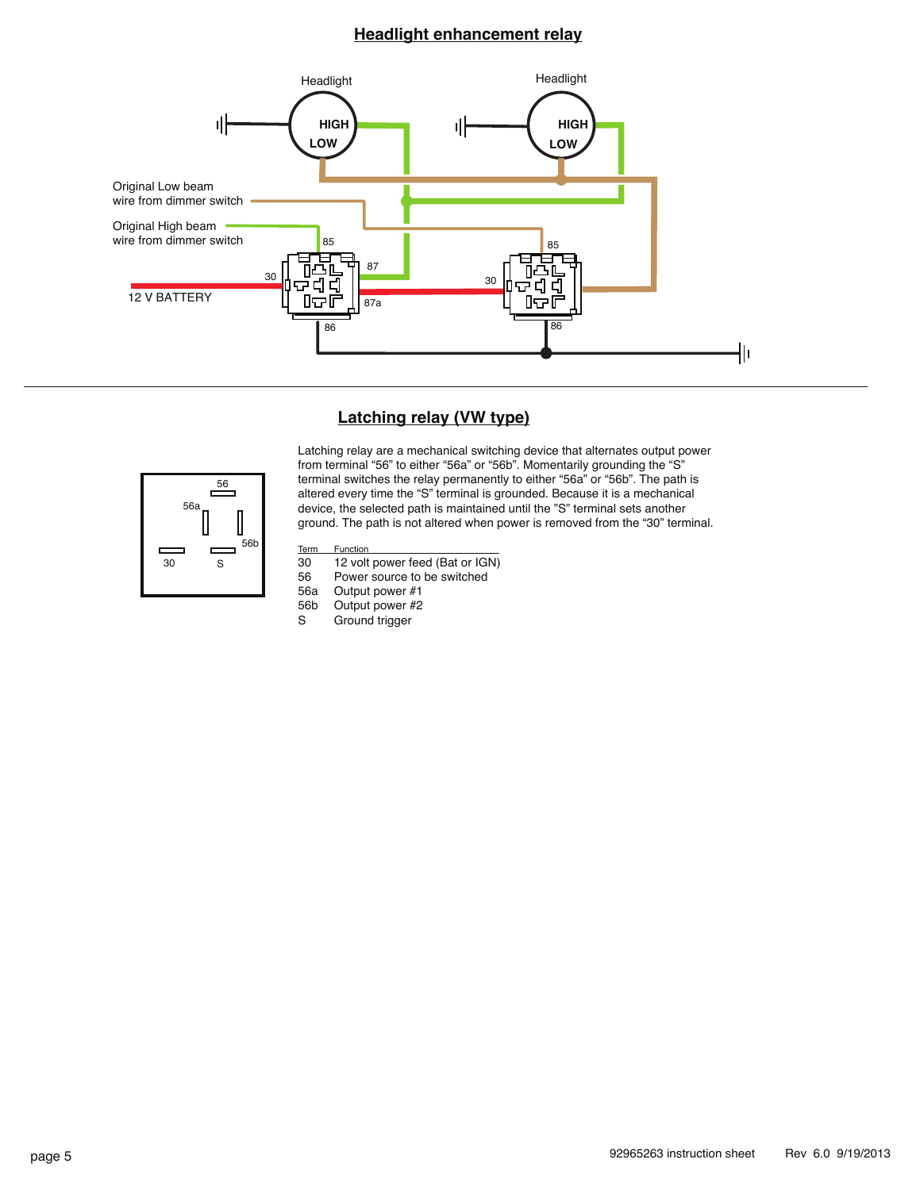### **Headlight enhancement relay**



#### **Latching relay (VW type)**



Latching relay are a mechanical switching device that alternates output power from terminal "56" to either "56a" or "56b". Momentarily grounding the "S" terminal switches the relay permanently to either "56a" or "56b". The path is altered every time the "S" terminal is grounded. Because it is a mechanical device, the selected path is maintained until the "S" terminal sets another ground. The path is not altered when power is removed from the "30" terminal.

- Term Function<br>30 12 volt
- 30 12 volt power feed (Bat or IGN)<br>56 Power source to be switched
- 56 Power source to be switched<br>56a Output power #1
- 56a Output power #1<br>56b Output power #2
- 56b Output power #2<br>S Ground trigger Ground trigger
-